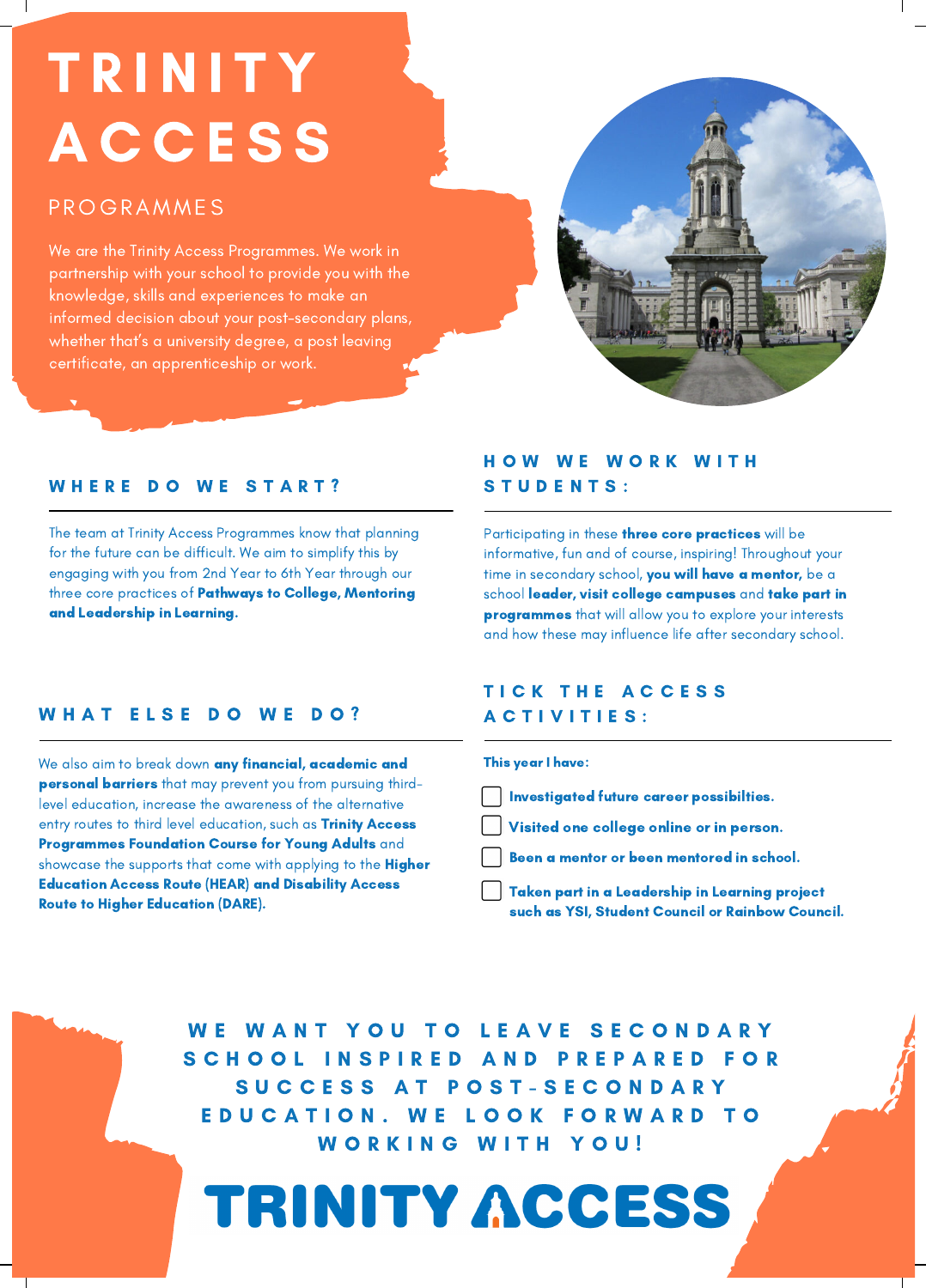# T R I N I T Y A C C E S S A C C E S S

### P ROGRAMME S P ROGRAMME S

We are the Trinity Access Programmes. We work in partnership with your school to provide you with the knowledge, skills and experiences to make an informed decision about your post-secondary plans, whether that's a university degree, a post leaving certificate, an apprenticeship or work.



### WHERE DO WE START?

The team at Trinity Access Programmes know that planning for the future can be difficult. We aim to simplify this by engaging with you from 2nd Year to 6th Year through our three core practices of Pathways to College, Mentoring and Leadership in Learning.

### HOW WE WORK WITH STUDENTS:

Participating in these three core practices will be informative, fun and of course, inspiring! Throughout your time in secondary school, you will have a mentor, be a school leader, visit college campuses and take part in programmes that will allow you to explore your interests and how these may influence life after secondary school.

### WHAT ELSE DO WE DO?

We also aim to break down any financial, academic and personal barriers that may prevent you from pursuing thirdlevel education, increase the awareness of the alternative entry routes to third level education, such as Trinity Access Programmes Foundation Course for Young Adults and showcase the supports that come with applying to the Higher Education Access Route (HEAR) and Disability Access Route to Higher Education (DARE).

### TICK THE ACCESS A C T I V I T I E S :

#### This year I have:

- Investigated future career possibilties.
- Visited one college online or in person.
- Been a mentor or been mentored in school.
- Taken part in a Leadership in Learning project such as YSI, Student Council or Rainbow Council.

WE WANT YOU TO LEAVE SECONDARY SCHOOL INSPIRED AND PREPARED FOR S U C C E S S A T P O S T - S E C O N D A R Y E D U C A T I O N . W E L O O K F O R W A R D T O WORKING WITH YOU!

# TRINITY ACCESS